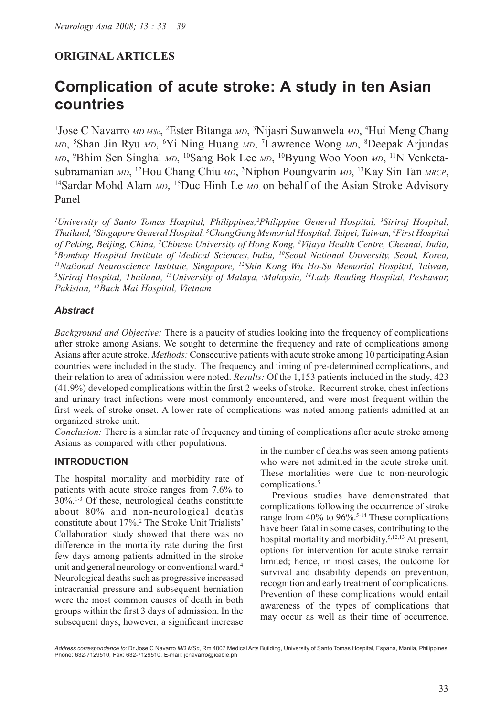## **ORIGINAL ARTICLES**

# **Complication of acute stroke: A study in ten Asian countries**

<sup>1</sup>Jose C Navarro MD MSc, <sup>2</sup>Ester Bitanga MD, <sup>3</sup>Nijasri Suwanwela MD, <sup>4</sup>Hui Meng Chang *MD*, 5 Shan Jin Ryu *MD*, 6 Yi Ning Huang *MD*, 7 Lawrence Wong *MD*, 8 Deepak Arjundas *MD*, 9 Bhim Sen Singhal *MD*, 10Sang Bok Lee *MD*, 10Byung Woo Yoon *MD*, 11N Venketasubramanian *MD*, <sup>12</sup>Hou Chang Chiu *MD*, <sup>3</sup>Niphon Poungvarin *MD*, <sup>13</sup>Kay Sin Tan *MRCP*, <sup>14</sup>Sardar Mohd Alam *MD*, <sup>15</sup>Duc Hinh Le *MD*, on behalf of the Asian Stroke Advisory Panel

*1 University of Santo Tomas Hospital, Philippines,2 Philippine General Hospital, 3 Siriraj Hospital, Thailand, 4 Singapore General Hospital, 5 ChangGung Memorial Hospital, Taipei, Taiwan, 6 First Hospital of Peking, Beijing, China, 7 Chinese University of Hong Kong, 8 Vijaya Health Centre, Chennai, India, 9 Bombay Hospital Institute of Medical Sciences, India, 10Seoul National University, Seoul, Korea, 11National Neuroscience Institute, Singapore, 12Shin Kong Wu Ho-Su Memorial Hospital, Taiwan, 3 Siriraj Hospital, Thailand, 13University of Malaya, , Malaysia, 14Lady Reading Hospital, Peshawar, Pakistan, 15Bach Mai Hospital, Vietnam* 

#### *Abstract*

*Background and Objective:* There is a paucity of studies looking into the frequency of complications after stroke among Asians. We sought to determine the frequency and rate of complications among Asians after acute stroke. *Methods:* Consecutive patients with acute stroke among 10 participating Asian countries were included in the study. The frequency and timing of pre-determined complications, and their relation to area of admission were noted. *Results:* Of the 1,153 patients included in the study, 423 (41.9%) developed complications within the first 2 weeks of stroke. Recurrent stroke, chest infections and urinary tract infections were most commonly encountered, and were most frequent within the first week of stroke onset. A lower rate of complications was noted among patients admitted at an organized stroke unit.

*Conclusion:* There is a similar rate of frequency and timing of complications after acute stroke among Asians as compared with other populations.

## **INTRODUCTION**

The hospital mortality and morbidity rate of patients with acute stroke ranges from 7.6% to  $30\%$ <sup>1-3</sup> Of these, neurological deaths constitute about 80% and non-neurological deaths constitute about 17%.2 The Stroke Unit Trialists' Collaboration study showed that there was no difference in the mortality rate during the first few days among patients admitted in the stroke unit and general neurology or conventional ward.<sup>4</sup> Neurological deaths such as progressive increased intracranial pressure and subsequent herniation were the most common causes of death in both groups within the first 3 days of admission. In the subsequent days, however, a significant increase

in the number of deaths was seen among patients who were not admitted in the acute stroke unit. These mortalities were due to non-neurologic complications.<sup>5</sup>

Previous studies have demonstrated that complications following the occurrence of stroke range from 40% to 96%.<sup>5-14</sup> These complications have been fatal in some cases, contributing to the hospital mortality and morbidity.<sup>5,12,13</sup> At present, options for intervention for acute stroke remain limited; hence, in most cases, the outcome for survival and disability depends on prevention, recognition and early treatment of complications. Prevention of these complications would entail awareness of the types of complications that may occur as well as their time of occurrence,

*Address correspondence to:* Dr Jose C Navarro *MD MSc*, Rm 4007 Medical Arts Building, University of Santo Tomas Hospital, Espana, Manila, Philippines. Phone: 632-7129510, Fax: 632-7129510, E-mail: jcnavarro@icable.ph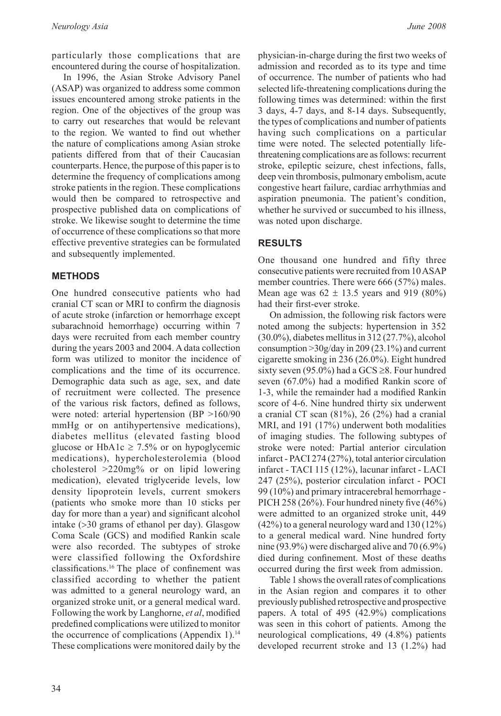particularly those complications that are encountered during the course of hospitalization.

In 1996, the Asian Stroke Advisory Panel (ASAP) was organized to address some common issues encountered among stroke patients in the region. One of the objectives of the group was to carry out researches that would be relevant to the region. We wanted to find out whether the nature of complications among Asian stroke patients differed from that of their Caucasian counterparts. Hence, the purpose of this paper is to determine the frequency of complications among stroke patients in the region. These complications would then be compared to retrospective and prospective published data on complications of stroke. We likewise sought to determine the time of occurrence of these complications so that more effective preventive strategies can be formulated and subsequently implemented.

## **METHODS**

One hundred consecutive patients who had cranial CT scan or MRI to confirm the diagnosis of acute stroke (infarction or hemorrhage except subarachnoid hemorrhage) occurring within 7 days were recruited from each member country during the years 2003 and 2004. A data collection form was utilized to monitor the incidence of complications and the time of its occurrence. Demographic data such as age, sex, and date of recruitment were collected. The presence of the various risk factors, defined as follows, were noted: arterial hypertension (BP >160/90 mmHg or on antihypertensive medications), diabetes mellitus (elevated fasting blood glucose or HbA1c  $\geq$  7.5% or on hypoglycemic medications), hypercholesterolemia (blood cholesterol >220mg% or on lipid lowering medication), elevated triglyceride levels, low density lipoprotein levels, current smokers (patients who smoke more than 10 sticks per day for more than a year) and significant alcohol intake (>30 grams of ethanol per day). Glasgow Coma Scale (GCS) and modified Rankin scale were also recorded. The subtypes of stroke were classified following the Oxfordshire classifications.<sup>16</sup> The place of confinement was classified according to whether the patient was admitted to a general neurology ward, an organized stroke unit, or a general medical ward. Following the work by Langhorne, *et al*, modified predefined complications were utilized to monitor the occurrence of complications (Appendix 1). $<sup>14</sup>$ </sup> These complications were monitored daily by the

physician-in-charge during the first two weeks of admission and recorded as to its type and time of occurrence. The number of patients who had selected life-threatening complications during the following times was determined: within the first 3 days, 4-7 days, and 8-14 days. Subsequently, the types of complications and number of patients having such complications on a particular time were noted. The selected potentially lifethreatening complications are as follows: recurrent stroke, epileptic seizure, chest infections, falls, deep vein thrombosis, pulmonary embolism, acute congestive heart failure, cardiac arrhythmias and aspiration pneumonia. The patient's condition, whether he survived or succumbed to his illness, was noted upon discharge.

## **RESULTS**

One thousand one hundred and fifty three consecutive patients were recruited from 10 ASAP member countries. There were 666 (57%) males. Mean age was  $62 \pm 13.5$  years and 919 (80%) had their first-ever stroke.

On admission, the following risk factors were noted among the subjects: hypertension in 352 (30.0%), diabetes mellitus in 312 (27.7%), alcohol consumption >30g/day in 209 (23.1%) and current cigarette smoking in 236 (26.0%). Eight hundred sixty seven (95.0%) had a GCS  $\geq$ 8. Four hundred seven (67.0%) had a modified Rankin score of 1-3, while the remainder had a modified Rankin score of 4-6. Nine hundred thirty six underwent a cranial CT scan (81%), 26 (2%) had a cranial MRI, and 191 (17%) underwent both modalities of imaging studies. The following subtypes of stroke were noted: Partial anterior circulation infarct - PACI 274 (27%), total anterior circulation infarct - TACI 115 (12%), lacunar infarct - LACI 247 (25%), posterior circulation infarct - POCI 99 (10%) and primary intracerebral hemorrhage - PICH 258 (26%). Four hundred ninety five (46%) were admitted to an organized stroke unit, 449 (42%) to a general neurology ward and 130 (12%) to a general medical ward. Nine hundred forty nine (93.9%) were discharged alive and 70 (6.9%) died during confinement. Most of these deaths occurred during the first week from admission.

Table 1 shows the overall rates of complications in the Asian region and compares it to other previously published retrospective and prospective papers. A total of 495 (42.9%) complications was seen in this cohort of patients. Among the neurological complications, 49 (4.8%) patients developed recurrent stroke and 13 (1.2%) had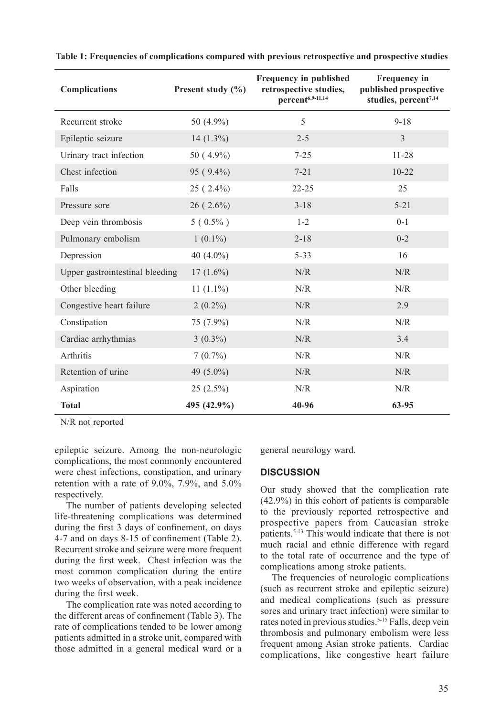| <b>Complications</b>            | Present study $(\% )$ | Frequency in published<br>retrospective studies,<br>percent6,9-11,14 | Frequency in<br>published prospective<br>studies, percent <sup>7,14</sup> |
|---------------------------------|-----------------------|----------------------------------------------------------------------|---------------------------------------------------------------------------|
| Recurrent stroke                | 50 (4.9%)             | 5                                                                    | $9 - 18$                                                                  |
| Epileptic seizure               | 14 $(1.3\%)$          | $2 - 5$                                                              | $\mathcal{E}$                                                             |
| Urinary tract infection         | $50(4.9\%)$           | $7 - 25$                                                             | $11 - 28$                                                                 |
| Chest infection                 | 95 (9.4%)             | $7 - 21$                                                             | $10 - 22$                                                                 |
| Falls                           | $25(2.4\%)$           | $22 - 25$                                                            | 25                                                                        |
| Pressure sore                   | $26(2.6\%)$           | $3 - 18$                                                             | $5 - 21$                                                                  |
| Deep vein thrombosis            | $5(0.5\%)$            | $1 - 2$                                                              | $0 - 1$                                                                   |
| Pulmonary embolism              | $1(0.1\%)$            | $2 - 18$                                                             | $0 - 2$                                                                   |
| Depression                      | 40 $(4.0\%)$          | $5 - 33$                                                             | 16                                                                        |
| Upper gastrointestinal bleeding | $17(1.6\%)$           | N/R                                                                  | N/R                                                                       |
| Other bleeding                  | 11 $(1.1\%)$          | N/R                                                                  | N/R                                                                       |
| Congestive heart failure        | $2(0.2\%)$            | N/R                                                                  | 2.9                                                                       |
| Constipation                    | 75 (7.9%)             | N/R                                                                  | N/R                                                                       |
| Cardiac arrhythmias             | $3(0.3\%)$            | N/R                                                                  | 3.4                                                                       |
| Arthritis                       | $7(0.7\%)$            | N/R                                                                  | $\ensuremath{\text{N}}\xspace/\ensuremath{\text{R}}\xspace$               |
| Retention of urine              | 49 (5.0%)             | N/R                                                                  | $\ensuremath{\text{N}}\xspace/\ensuremath{\text{R}}\xspace$               |
| Aspiration                      | $25(2.5\%)$           | N/R                                                                  | N/R                                                                       |
| <b>Total</b>                    | 495 (42.9%)           | 40-96                                                                | 63-95                                                                     |

**Table 1: Frequencies of complications compared with previous retrospective and prospective studies** 

N/R not reported

epileptic seizure. Among the non-neurologic complications, the most commonly encountered were chest infections, constipation, and urinary retention with a rate of 9.0%, 7.9%, and 5.0% respectively.

The number of patients developing selected life-threatening complications was determined during the first 3 days of confinement, on days 4-7 and on days 8-15 of confinement (Table 2). Recurrent stroke and seizure were more frequent during the first week. Chest infection was the most common complication during the entire two weeks of observation, with a peak incidence during the first week.

The complication rate was noted according to the different areas of confinement (Table 3). The rate of complications tended to be lower among patients admitted in a stroke unit, compared with those admitted in a general medical ward or a general neurology ward.

### **DISCUSSION**

Our study showed that the complication rate (42.9%) in this cohort of patients is comparable to the previously reported retrospective and prospective papers from Caucasian stroke patients.5-13 This would indicate that there is not much racial and ethnic difference with regard to the total rate of occurrence and the type of complications among stroke patients.

The frequencies of neurologic complications (such as recurrent stroke and epileptic seizure) and medical complications (such as pressure sores and urinary tract infection) were similar to rates noted in previous studies.<sup>5-15</sup> Falls, deep vein thrombosis and pulmonary embolism were less frequent among Asian stroke patients. Cardiac complications, like congestive heart failure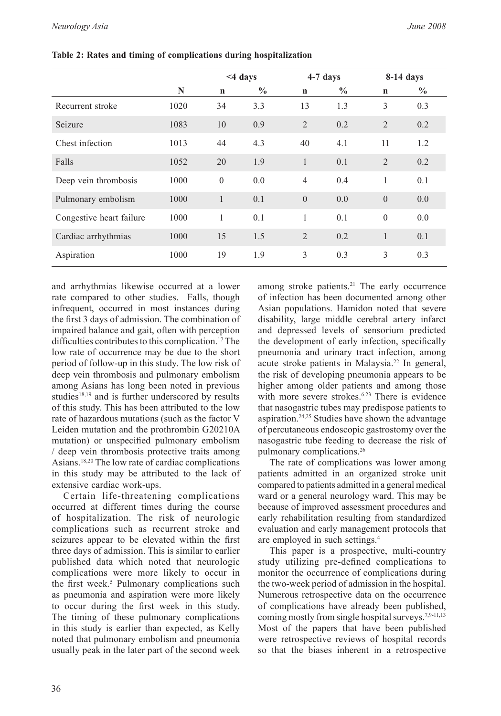|                          |      | <4 days      |               | 4-7 days       |               | $8-14$ days    |               |
|--------------------------|------|--------------|---------------|----------------|---------------|----------------|---------------|
|                          | N    | $\mathbf n$  | $\frac{0}{0}$ | $\mathbf n$    | $\frac{0}{0}$ | $\mathbf n$    | $\frac{0}{0}$ |
| Recurrent stroke         | 1020 | 34           | 3.3           | 13             | 1.3           | 3              | 0.3           |
| Seizure                  | 1083 | 10           | 0.9           | $\overline{2}$ | 0.2           | 2              | 0.2           |
| Chest infection          | 1013 | 44           | 4.3           | 40             | 4.1           | 11             | 1.2           |
| Falls                    | 1052 | 20           | 1.9           | 1              | 0.1           | $\overline{2}$ | 0.2           |
| Deep vein thrombosis     | 1000 | $\mathbf{0}$ | 0.0           | $\overline{4}$ | 0.4           | 1              | 0.1           |
| Pulmonary embolism       | 1000 | $\mathbf{1}$ | 0.1           | $\Omega$       | 0.0           | $\theta$       | 0.0           |
| Congestive heart failure | 1000 | 1            | 0.1           | 1              | 0.1           | $\theta$       | 0.0           |
| Cardiac arrhythmias      | 1000 | 15           | 1.5           | $\overline{2}$ | 0.2           | 1              | 0.1           |
| Aspiration               | 1000 | 19           | 1.9           | 3              | 0.3           | 3              | 0.3           |

**Table 2: Rates and timing of complications during hospitalization** 

and arrhythmias likewise occurred at a lower rate compared to other studies. Falls, though infrequent, occurred in most instances during the first 3 days of admission. The combination of impaired balance and gait, often with perception difficulties contributes to this complication.<sup>17</sup> The low rate of occurrence may be due to the short period of follow-up in this study. The low risk of deep vein thrombosis and pulmonary embolism among Asians has long been noted in previous studies $18,19$  and is further underscored by results of this study. This has been attributed to the low rate of hazardous mutations (such as the factor V Leiden mutation and the prothrombin G20210A mutation) or unspecified pulmonary embolism / deep vein thrombosis protective traits among Asians.18,20 The low rate of cardiac complications in this study may be attributed to the lack of extensive cardiac work-ups.

Certain life-threatening complications occurred at different times during the course of hospitalization. The risk of neurologic complications such as recurrent stroke and seizures appear to be elevated within the first three days of admission. This is similar to earlier published data which noted that neurologic complications were more likely to occur in the first week.<sup>5</sup> Pulmonary complications such as pneumonia and aspiration were more likely to occur during the first week in this study. The timing of these pulmonary complications in this study is earlier than expected, as Kelly noted that pulmonary embolism and pneumonia usually peak in the later part of the second week

among stroke patients.<sup>21</sup> The early occurrence of infection has been documented among other Asian populations. Hamidon noted that severe disability, large middle cerebral artery infarct and depressed levels of sensorium predicted the development of early infection, specifically pneumonia and urinary tract infection, among acute stroke patients in Malaysia.22 In general, the risk of developing pneumonia appears to be higher among older patients and among those with more severe strokes.<sup>6.23</sup> There is evidence that nasogastric tubes may predispose patients to aspiration.24,25 Studies have shown the advantage of percutaneous endoscopic gastrostomy over the nasogastric tube feeding to decrease the risk of pulmonary complications.26

The rate of complications was lower among patients admitted in an organized stroke unit compared to patients admitted in a general medical ward or a general neurology ward. This may be because of improved assessment procedures and early rehabilitation resulting from standardized evaluation and early management protocols that are employed in such settings.4

This paper is a prospective, multi-country study utilizing pre-defined complications to monitor the occurrence of complications during the two-week period of admission in the hospital. Numerous retrospective data on the occurrence of complications have already been published, coming mostly from single hospital surveys.<sup>7,9-11,13</sup> Most of the papers that have been published were retrospective reviews of hospital records so that the biases inherent in a retrospective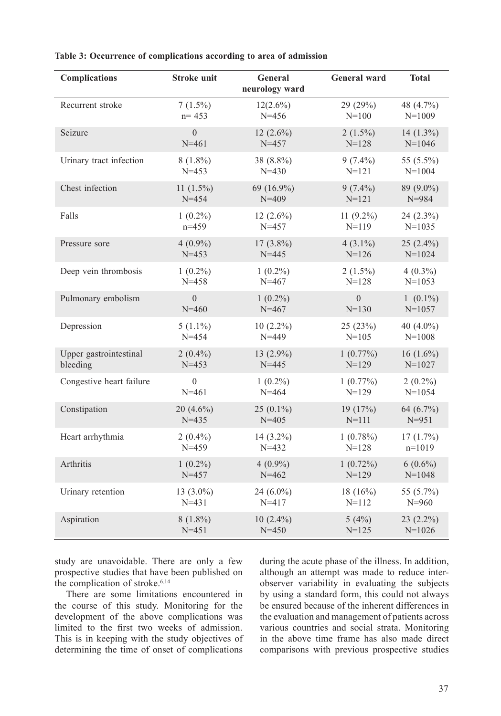| <b>Complications</b>     | <b>Stroke unit</b> | General<br>neurology ward | <b>General ward</b> | <b>Total</b> |
|--------------------------|--------------------|---------------------------|---------------------|--------------|
| Recurrent stroke         | $7(1.5\%)$         | $12(2.6\%)$               | 29 (29%)            | 48 (4.7%)    |
|                          | $n = 453$          | $N = 456$                 | $N = 100$           | $N=1009$     |
| Seizure                  | $\overline{0}$     | $12(2.6\%)$               | $2(1.5\%)$          | $14(1.3\%)$  |
|                          | $N = 461$          | $N = 457$                 | $N = 128$           | $N=1046$     |
| Urinary tract infection  | $8(1.8\%)$         | 38 (8.8%)                 | $9(7.4\%)$          | 55 (5.5%)    |
|                          | $N = 453$          | $N = 430$                 | $N = 121$           | $N = 1004$   |
| Chest infection          | 11 $(1.5\%)$       | 69 (16.9%)                | $9(7.4\%)$          | 89 (9.0%)    |
|                          | $N = 454$          | $N = 409$                 | $N = 121$           | $N = 984$    |
| Falls                    | $1(0.2\%)$         | $12(2.6\%)$               | 11 $(9.2\%)$        | 24 (2.3%)    |
|                          | $n=459$            | $N = 457$                 | $N = 119$           | $N=1035$     |
| Pressure sore            | $4(0.9\%)$         | $17(3.8\%)$               | $4(3.1\%)$          | $25(2.4\%)$  |
|                          | $N = 453$          | $N = 445$                 | $N = 126$           | $N = 1024$   |
| Deep vein thrombosis     | $1(0.2\%)$         | $1(0.2\%)$                | $2(1.5\%)$          | $4(0.3\%)$   |
|                          | $N = 458$          | $N = 467$                 | $N = 128$           | $N=1053$     |
| Pulmonary embolism       | $\boldsymbol{0}$   | $1(0.2\%)$                | $\overline{0}$      | $1(0.1\%)$   |
|                          | $N = 460$          | $N = 467$                 | $N = 130$           | $N = 1057$   |
| Depression               | $5(1.1\%)$         | $10(2.2\%)$               | 25 (23%)            | 40 $(4.0\%)$ |
|                          | $N = 454$          | $N = 449$                 | $N = 105$           | $N = 1008$   |
| Upper gastrointestinal   | $2(0.4\%)$         | 13 $(2.9\%)$              | 1(0.77%)            | $16(1.6\%)$  |
| bleeding                 | $N = 453$          | $N = 445$                 | $N=129$             | $N=1027$     |
| Congestive heart failure | $\theta$           | $1(0.2\%)$                | 1(0.77%)            | $2(0.2\%)$   |
|                          | $N = 461$          | $N = 464$                 | $N = 129$           | $N = 1054$   |
| Constipation             | $20(4.6\%)$        | $25(0.1\%)$               | 19 (17%)            | 64 (6.7%)    |
|                          | $N = 435$          | $N = 405$                 | $N = 111$           | $N = 951$    |
| Heart arrhythmia         | $2(0.4\%)$         | $14(3.2\%)$               | $1(0.78\%)$         | 17(1.7%)     |
|                          | $N = 459$          | $N = 432$                 | $N = 128$           | $n=1019$     |
| Arthritis                | $1(0.2\%)$         | $4(0.9\%)$                | $1(0.72\%)$         | $6(0.6\%)$   |
|                          | $N = 457$          | $N = 462$                 | $N=129$             | $N = 1048$   |
| Urinary retention        | 13 $(3.0\%)$       | 24 $(6.0\%)$              | 18 $(16%)$          | 55 (5.7%)    |
|                          | $N = 431$          | $N = 417$                 | $N = 112$           | $N = 960$    |
| Aspiration               | $8(1.8\%)$         | $10(2.4\%)$               | 5(4%)               | $23(2.2\%)$  |
|                          | $N = 451$          | $N = 450$                 | $N = 125$           | $N=1026$     |

#### **Table 3: Occurrence of complications according to area of admission**

study are unavoidable. There are only a few prospective studies that have been published on the complication of stroke.<sup>6,14</sup>

There are some limitations encountered in the course of this study. Monitoring for the development of the above complications was limited to the first two weeks of admission. This is in keeping with the study objectives of determining the time of onset of complications during the acute phase of the illness. In addition, although an attempt was made to reduce interobserver variability in evaluating the subjects by using a standard form, this could not always be ensured because of the inherent differences in the evaluation and management of patients across various countries and social strata. Monitoring in the above time frame has also made direct comparisons with previous prospective studies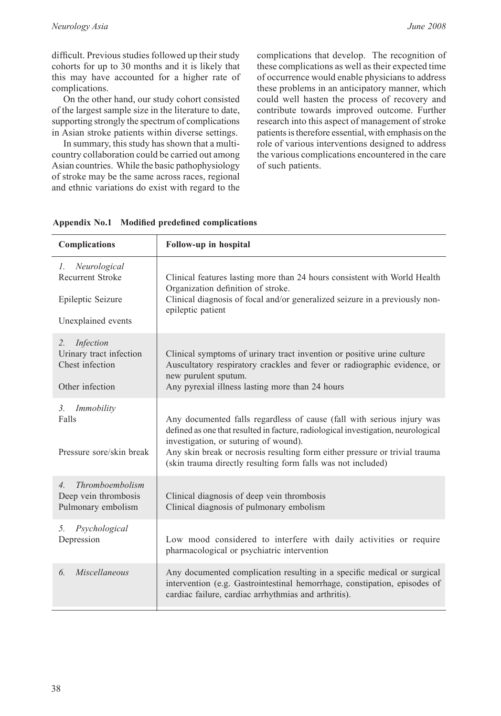difficult. Previous studies followed up their study cohorts for up to 30 months and it is likely that this may have accounted for a higher rate of complications.

On the other hand, our study cohort consisted of the largest sample size in the literature to date, supporting strongly the spectrum of complications in Asian stroke patients within diverse settings.

In summary, this study has shown that a multicountry collaboration could be carried out among Asian countries. While the basic pathophysiology of stroke may be the same across races, regional and ethnic variations do exist with regard to the

complications that develop. The recognition of these complications as well as their expected time of occurrence would enable physicians to address these problems in an anticipatory manner, which could well hasten the process of recovery and contribute towards improved outcome. Further research into this aspect of management of stroke patients is therefore essential, with emphasis on the role of various interventions designed to address the various complications encountered in the care of such patients.

| <b>Complications</b>                                                                              | Follow-up in hospital                                                                                                                                                                                                                                                                                                                               |
|---------------------------------------------------------------------------------------------------|-----------------------------------------------------------------------------------------------------------------------------------------------------------------------------------------------------------------------------------------------------------------------------------------------------------------------------------------------------|
| Neurological<br>$l_{\perp}$<br><b>Recurrent Stroke</b><br>Epileptic Seizure<br>Unexplained events | Clinical features lasting more than 24 hours consistent with World Health<br>Organization definition of stroke.<br>Clinical diagnosis of focal and/or generalized seizure in a previously non-<br>epileptic patient                                                                                                                                 |
| Infection<br>2.<br>Urinary tract infection<br>Chest infection<br>Other infection                  | Clinical symptoms of urinary tract invention or positive urine culture<br>Auscultatory respiratory crackles and fever or radiographic evidence, or<br>new purulent sputum.<br>Any pyrexial illness lasting more than 24 hours                                                                                                                       |
| 3 <sub>1</sub><br>Immobility<br>Falls<br>Pressure sore/skin break                                 | Any documented falls regardless of cause (fall with serious injury was<br>defined as one that resulted in facture, radiological investigation, neurological<br>investigation, or suturing of wound).<br>Any skin break or necrosis resulting form either pressure or trivial trauma<br>(skin trauma directly resulting form falls was not included) |
| Thromboembolism<br>$\overline{4}$ .<br>Deep vein thrombosis<br>Pulmonary embolism                 | Clinical diagnosis of deep vein thrombosis<br>Clinical diagnosis of pulmonary embolism                                                                                                                                                                                                                                                              |
| Psychological<br>5.<br>Depression                                                                 | Low mood considered to interfere with daily activities or require<br>pharmacological or psychiatric intervention                                                                                                                                                                                                                                    |
| Miscellaneous<br>6.                                                                               | Any documented complication resulting in a specific medical or surgical<br>intervention (e.g. Gastrointestinal hemorrhage, constipation, episodes of<br>cardiac failure, cardiac arrhythmias and arthritis).                                                                                                                                        |

**Appendix No.1 Modified predefined complications**